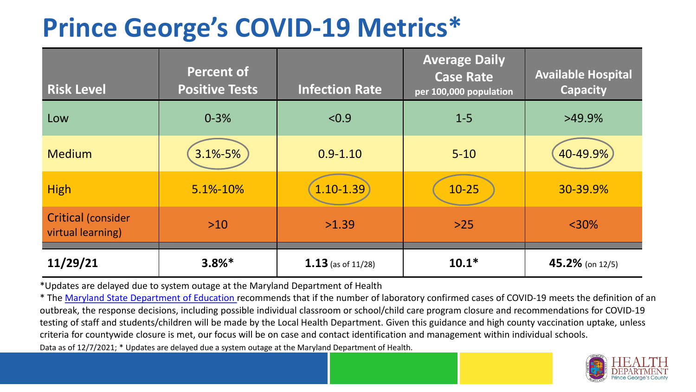## **Prince George's COVID-19 Metrics\***

| <b>Risk Level</b>                              | <b>Percent of</b><br><b>Positive Tests</b> | <b>Infection Rate</b> | <b>Average Daily</b><br><b>Case Rate</b><br>per 100,000 population | <b>Available Hospital</b><br><b>Capacity</b> |
|------------------------------------------------|--------------------------------------------|-----------------------|--------------------------------------------------------------------|----------------------------------------------|
| Low                                            | $0 - 3%$                                   | < 0.9                 | $1 - 5$                                                            | $>49.9\%$                                    |
| <b>Medium</b>                                  | 3.1%-5%                                    | $0.9 - 1.10$          | $5 - 10$                                                           | 40-49.9%                                     |
| <b>High</b>                                    | 5.1%-10%                                   | $1.10 - 1.39$         | $10 - 25$                                                          | 30-39.9%                                     |
| <b>Critical (consider</b><br>virtual learning) | $>10$                                      | >1.39                 | $>25$                                                              | $<$ 30%                                      |
| 11/29/21                                       | $3.8%$ *                                   | $1.13$ (as of 11/28)  | $10.1*$                                                            | 45.2% (on $12/5$ )                           |

\*Updates are delayed due to system outage at the Maryland Department of Health

Data as of 12/7/2021; \* Updates are delayed due a system outage at the Maryland Department of Health. \* The [Maryland State Department of Education r](https://earlychildhood.marylandpublicschools.org/system/files/filedepot/3/covid_guidance_full_080420.pdf)ecommends that if the number of laboratory confirmed cases of COVID-19 meets the definition of an outbreak, the response decisions, including possible individual classroom or school/child care program closure and recommendations for COVID-19 testing of staff and students/children will be made by the Local Health Department. Given this guidance and high county vaccination uptake, unless criteria for countywide closure is met, our focus will be on case and contact identification and management within individual schools.

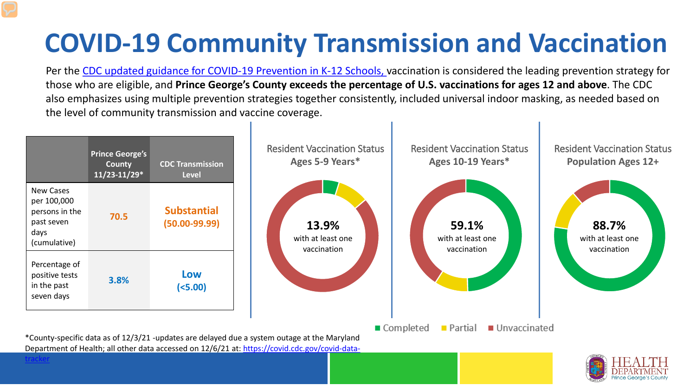# **COVID-19 Community Transmission and Vaccination**

Per the [CDC updated guidance for COVID-19 Prevention in K-12 Schools,](https://www.cdc.gov/coronavirus/2019-ncov/community/schools-childcare/k-12-guidance.html) vaccination is considered the leading prevention strategy for those who are eligible, and **Prince George's County exceeds the percentage of U.S. vaccinations for ages 12 and above**. The CDC also emphasizes using multiple prevention strategies together consistently, included universal indoor masking, as needed based on the level of community transmission and vaccine coverage.

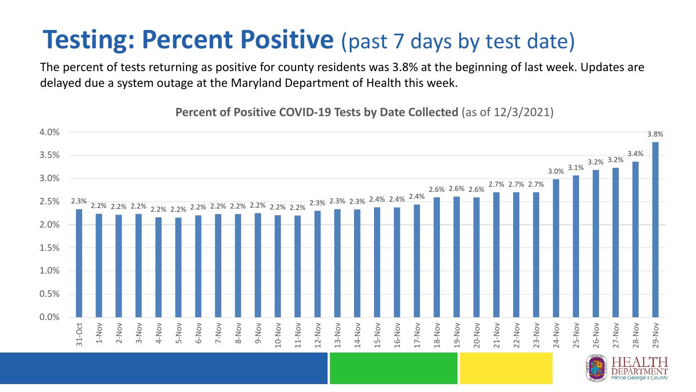### **Testing: Percent Positive** (past 7 days by test date)

The percent of tests returning as positive for county residents was 3.8% at the beginning of last week. Updates are delayed due a system outage at the Maryland Department of Health this week.

2.3% 2.2% 2.2% 2.2% 2.2% 2.2% 2.2% 2.2% 2.2% 2.2% 2.2% 2.2% 2.3% 2.3% 2.3% 2.4% 2.4% 2.4% 2.6% 2.6% 2.6% 2.7% 2.7% 2.7% 3.0% 3.1% 3.2% 3.2% 3.4% 3.8% 0.0% 0.5% 1.0% 1.5% 2.0% 2.5% 3.0% 3.5% 4.0% 31-Oct 1-Nov 2-Nov 3-Nov 4-Nov 5-Nov 6-Nov 7-Nov 8-Nov 9-Nov 10-Nov 11-Nov 12-Nov 13-Nov 14-Nov 15-Nov 16-Nov 17-Nov 18-Nov 19-Nov 20-Nov 21-Nov 22-Nov 23-Nov 24-Nov 25-Nov 26-Nov 27-Nov 28-Nov 29-Nov

**Percent of Positive COVID-19 Tests by Date Collected** (as of 12/3/2021)

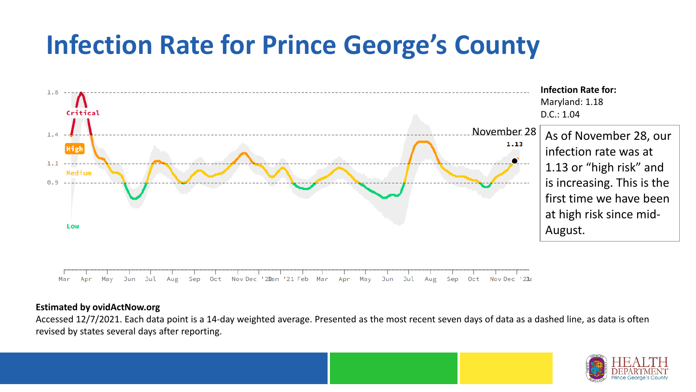## **Infection Rate for Prince George's County**



### **Estimated by ovidActNow.org**

Accessed 12/7/2021. Each data point is a 14-day weighted average. Presented as the most recent seven days of data as a dashed line, as data is often revised by states several days after reporting.

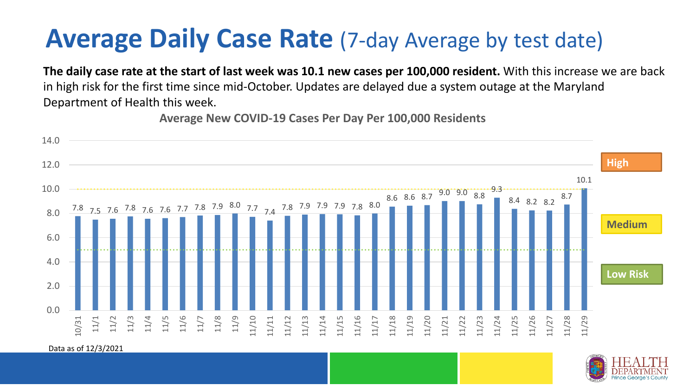### **Average Daily Case Rate** (7-day Average by test date)

**The daily case rate at the start of last week was 10.1 new cases per 100,000 resident.** With this increase we are back in high risk for the first time since mid-October. Updates are delayed due a system outage at the Maryland Department of Health this week.

**Average New COVID-19 Cases Per Day Per 100,000 Residents**



Data as of 12/3/2021